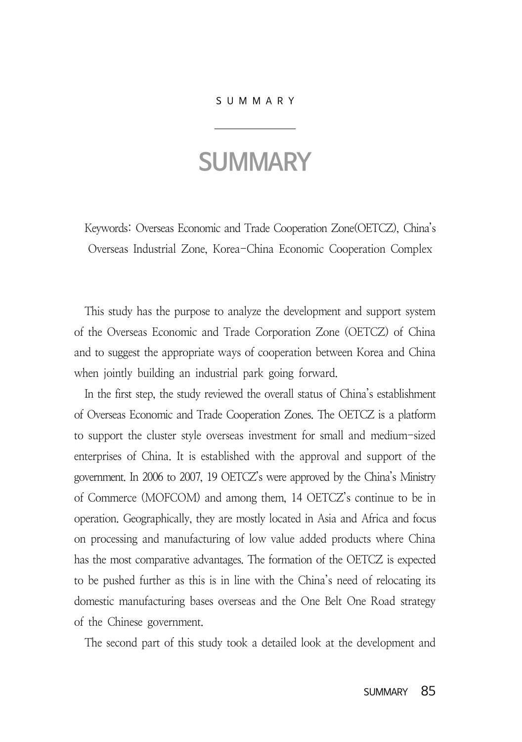## SUMMARY

## **SUMMARY**

Keywords: Overseas Economic and Trade Cooperation Zone(OETCZ), China's Overseas Industrial Zone, Korea-China Economic Cooperation Complex

This study has the purpose to analyze the development and support system of the Overseas Economic and Trade Corporation Zone (OETCZ) of China and to suggest the appropriate ways of cooperation between Korea and China when jointly building an industrial park going forward.

In the first step, the study reviewed the overall status of China's establishment of Overseas Economic and Trade Cooperation Zones. The OETCZ is a platform to support the cluster style overseas investment for small and medium-sized enterprises of China. It is established with the approval and support of the government. In 2006 to 2007, 19 OETCZ's were approved by the China's Ministry of Commerce (MOFCOM) and among them, 14 OETCZ's continue to be in operation. Geographically, they are mostly located in Asia and Africa and focus on processing and manufacturing of low value added products where China has the most comparative advantages. The formation of the OETCZ is expected to be pushed further as this is in line with the China's need of relocating its domestic manufacturing bases overseas and the One Belt One Road strategy of the Chinese government.

The second part of this study took a detailed look at the development and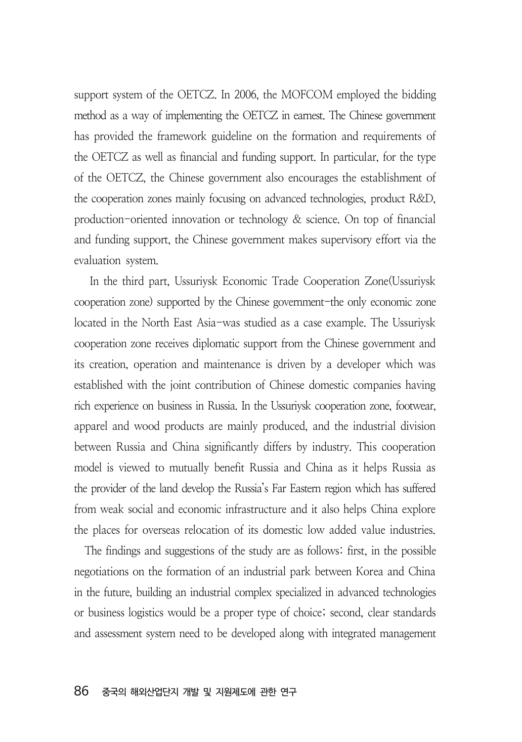support system of the OETCZ. In 2006, the MOFCOM employed the bidding method as a way of implementing the OETCZ in earnest. The Chinese government has provided the framework guideline on the formation and requirements of the OETCZ as well as financial and funding support. In particular, for the type of the OETCZ, the Chinese government also encourages the establishment of the cooperation zones mainly focusing on advanced technologies, product R&D, production-oriented innovation or technology & science. On top of financial and funding support, the Chinese government makes supervisory effort via the evaluation system.

 In the third part, Ussuriysk Economic Trade Cooperation Zone(Ussuriysk cooperation zone) supported by the Chinese government-the only economic zone located in the North East Asia-was studied as a case example. The Ussuriysk cooperation zone receives diplomatic support from the Chinese government and its creation, operation and maintenance is driven by a developer which was established with the joint contribution of Chinese domestic companies having rich experience on business in Russia. In the Ussuriysk cooperation zone, footwear, apparel and wood products are mainly produced, and the industrial division between Russia and China significantly differs by industry. This cooperation model is viewed to mutually benefit Russia and China as it helps Russia as the provider of the land develop the Russia's Far Eastern region which has suffered from weak social and economic infrastructure and it also helps China explore the places for overseas relocation of its domestic low added value industries.

The findings and suggestions of the study are as follows: first, in the possible negotiations on the formation of an industrial park between Korea and China in the future, building an industrial complex specialized in advanced technologies or business logistics would be a proper type of choice; second, clear standards and assessment system need to be developed along with integrated management